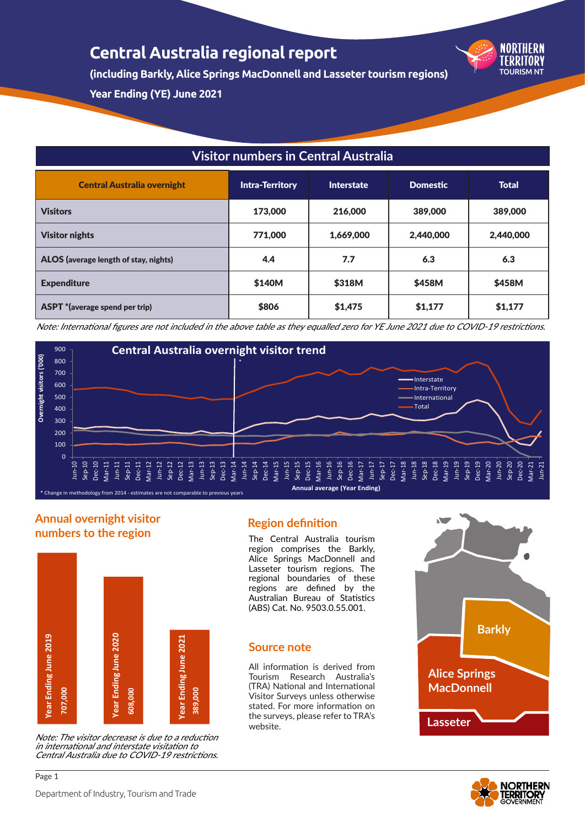**(including Barkly, Alice Springs MacDonnell and Lasseter tourism regions)**

**Year Ending (YE) June 2021**

## **Visitor numbers in Central Australia**

| <b>Central Australia overnight</b>    | <b>Intra-Territory</b> | <b>Interstate</b> | <b>Domestic</b> | <b>Total</b> |
|---------------------------------------|------------------------|-------------------|-----------------|--------------|
| <b>Visitors</b>                       | 173,000                | 216,000           | 389,000         | 389,000      |
| <b>Visitor nights</b>                 | 771,000                | 1,669,000         | 2,440,000       | 2,440,000    |
| ALOS (average length of stay, nights) | 4.4                    | 7.7               | 6.3             | 6.3          |
| <b>Expenditure</b>                    | \$140M                 | \$318M            | \$458M          | \$458M       |
| <b>ASPT</b> *(average spend per trip) | \$806                  | \$1,475           | \$1,177         | \$1,177      |

Note: International figures are not included in the above table as they equalled zero for YE June 2021 due to COVID-19 restrictions.



## **Annual overnight visitor numbers to the region**



Note: The visitor decrease is due to a reduction in international and interstate visitation to Central Australia due to COVID-19 restrictions.

## **Region definition**

The Central Australia tourism region comprises the Barkly, Alice Springs MacDonnell and Lasseter tourism regions. The regional boundaries of these regions are defined by the Australian Bureau of Statistics (ABS) Cat. No. 9503.0.55.001.

## **Source note**

All information is derived from Tourism Research Australia's (TRA) National and International Visitor Surveys unless otherwise stated. For more information on the surveys, please refer to TRA's website.



TOURISM NT

NORTHERN TFRRITORY

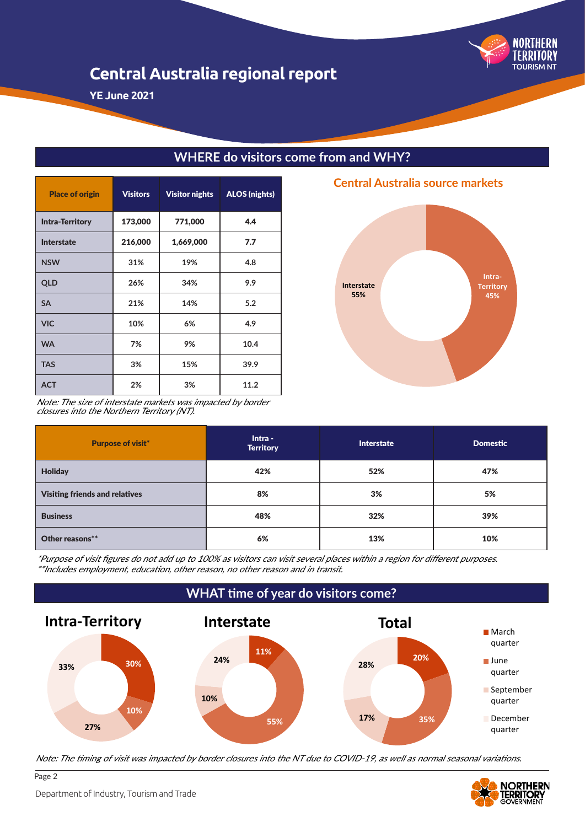

**YE June 2021**

| <b>Place of origin</b> | <b>Visitors</b> | <b>Visitor nights</b> | <b>ALOS (nights)</b> |
|------------------------|-----------------|-----------------------|----------------------|
| <b>Intra-Territory</b> | 173,000         | 771,000               | 4.4                  |
| <b>Interstate</b>      | 216,000         | 1,669,000             | 7.7                  |
| <b>NSW</b>             | 31%             | 19%                   | 4.8                  |
| <b>QLD</b>             | 26%             | 34%                   | 9.9                  |
| <b>SA</b>              | 21%             | 14%                   | 5.2                  |
| <b>VIC</b>             | 10%             | 6%                    | 4.9                  |
| <b>WA</b>              | 7%              | 9%                    | 10.4                 |
| <b>TAS</b>             | 3%              | 15%                   | 39.9                 |
| <b>ACT</b>             | 2%              | 3%                    | 11.2                 |

## **WHERE do visitors come from and WHY?**

**Intra-Territory 45% Interstate 55%**

## **Central Australia source markets**

Note: The size of interstate markets was impacted by border closures into the Northern Territory (NT).

| <b>Purpose of visit*</b>              | Intra -<br><b>Territory</b> | <b>Interstate</b> | <b>Domestic</b> |
|---------------------------------------|-----------------------------|-------------------|-----------------|
| <b>Holiday</b>                        | 42%                         | 52%               | 47%             |
| <b>Visiting friends and relatives</b> | 8%                          | 3%                | 5%              |
| <b>Business</b>                       | 48%                         | 32%               | 39%             |
| Other reasons**                       | 6%                          | 13%               | 10%             |

\*Purpose of visit figures do not add up to 100% as visitors can visit several places within a region for different purposes. \*\*Includes employment, education, other reason, no other reason and in transit.



Note: The timing of visit was impacted by border closures into the NT due to COVID-19, as well as normal seasonal variations.



Page 2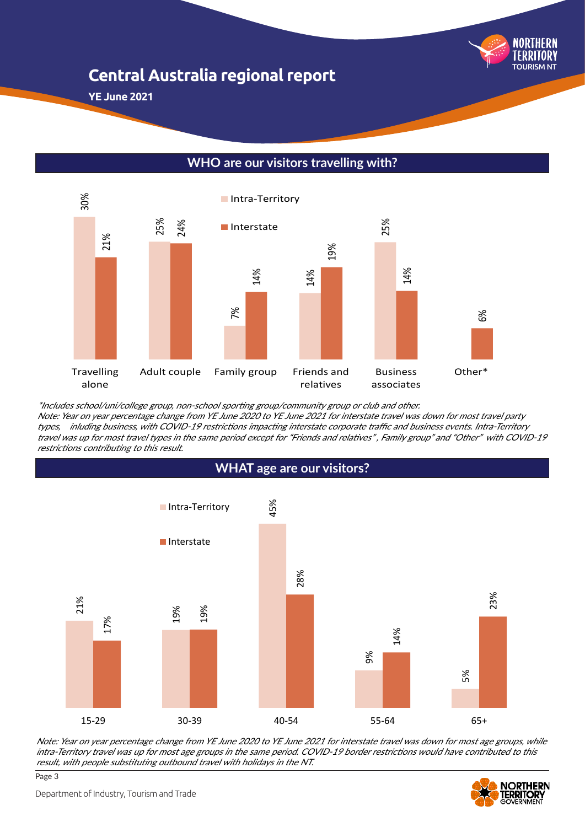

**YE June 2021**



## **WHO are our visitors travelling with?**

\*Includes school/uni/college group, non-school sporting group/community group or club and other.

Note: Year on year percentage change from YE June 2020 to YE June 2021 for interstate travel was down for most travel party types, inluding business, with COVID-19 restrictions impacting interstate corporate traffic and business events. Intra-Territory travel was up for most travel types in the same period except for "Friends and relatives" , Family group" and "Other" with COVID-19





Note: Year on year percentage change from YE June 2020 to YE June 2021 for interstate travel was down for most age groups, while intra-Territory travel was up for most age groups in the same period. COVID-19 border restrictions would have contributed to this result, with people substituting outbound travel with holidays in the NT.



Page 3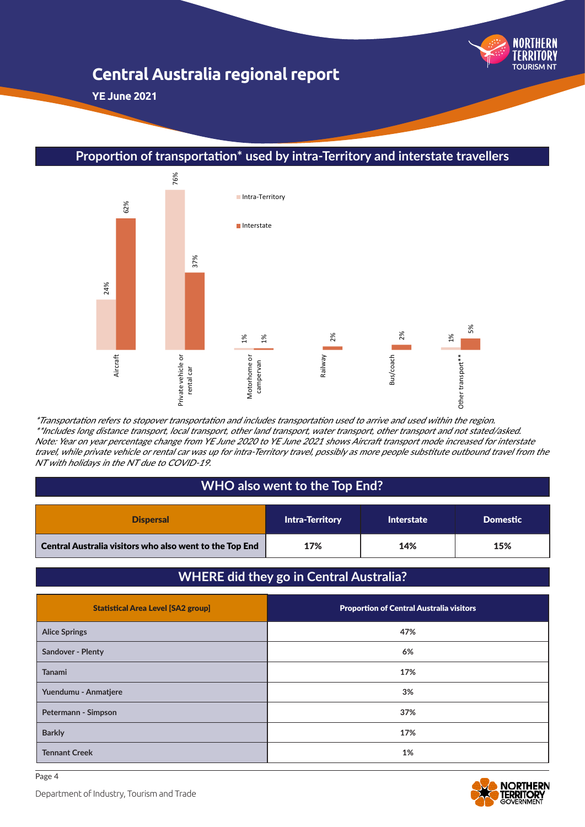

**YE June 2021**

**Proportion of transportation\* used by intra-Territory and interstate travellers**



\*Transportation refers to stopover transportation and includes transportation used to arrive and used within the region. \*\*Includes long distance transport, local transport, other land transport, water transport, other transport and not stated/asked. Note: Year on year percentage change from YE June 2020 to YE June 2021 shows Aircraft transport mode increased for interstate travel, while private vehicle or rental car was up for intra-Territory travel, possibly as more people substitute outbound travel from the NT with holidays in the NT due to COVID-19.

## **WHO also went to the Top End?**

| <b>Dispersal</b>                                               | <b>Intra-Territory</b> | <b>Interstate</b> | <b>Domestic</b> |
|----------------------------------------------------------------|------------------------|-------------------|-----------------|
| $\mid$ Central Australia visitors who also went to the Top End | 17%                    | 14%               | 15%             |

## **WHERE did they go in Central Australia?**

| <b>Statistical Area Level [SA2 group]</b> | <b>Proportion of Central Australia visitors</b> |
|-------------------------------------------|-------------------------------------------------|
| <b>Alice Springs</b>                      | 47%                                             |
| <b>Sandover - Plenty</b>                  | 6%                                              |
| <b>Tanami</b>                             | 17%                                             |
| Yuendumu - Anmatjere                      | 3%                                              |
| Petermann - Simpson                       | 37%                                             |
| <b>Barkly</b>                             | 17%                                             |
| <b>Tennant Creek</b>                      | 1%                                              |

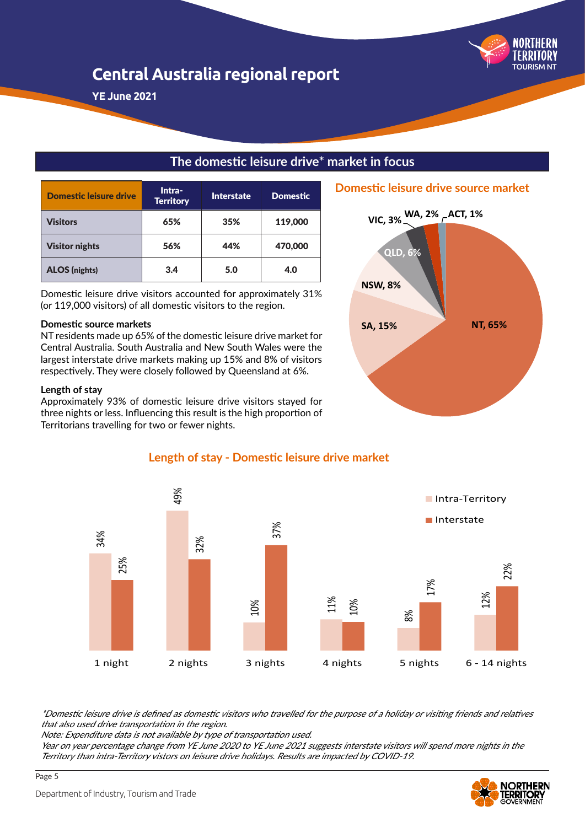

**YE June 2021**

## **The domestic leisure drive\* market in focus**

| Domestic leisure drive | Intra-<br><b>Territory</b> | <b>Interstate</b> | <b>Domestic</b> |
|------------------------|----------------------------|-------------------|-----------------|
| <b>Visitors</b>        | 65%                        | 35%               | 119,000         |
| <b>Visitor nights</b>  | 56%                        | 44%               | 470,000         |
| <b>ALOS</b> (nights)   | 3.4                        | 5.0               | 4.0             |

Domestic leisure drive visitors accounted for approximately 31% (or 119,000 visitors) of all domestic visitors to the region.

#### **Domestic source markets**

NT residents made up 65% of the domestic leisure drive market for Central Australia. South Australia and New South Wales were the largest interstate drive markets making up 15% and 8% of visitors respectively. They were closely followed by Queensland at 6%.

#### **Length of stay**

Approximately 93% of domestic leisure drive visitors stayed for three nights or less. Influencing this result is the high proportion of Territorians travelling for two or fewer nights.





## **Length of stay - Domestic leisure drive market**

\*Domestic leisure drive is defined as domestic visitors who travelled for the purpose of a holiday or visiting friends and relatives that also used drive transportation in the region.

Note: Expenditure data is not available by type of transportation used.

Year on year percentage change from YE June 2020 to YE June 2021 suggests interstate visitors will spend more nights in the

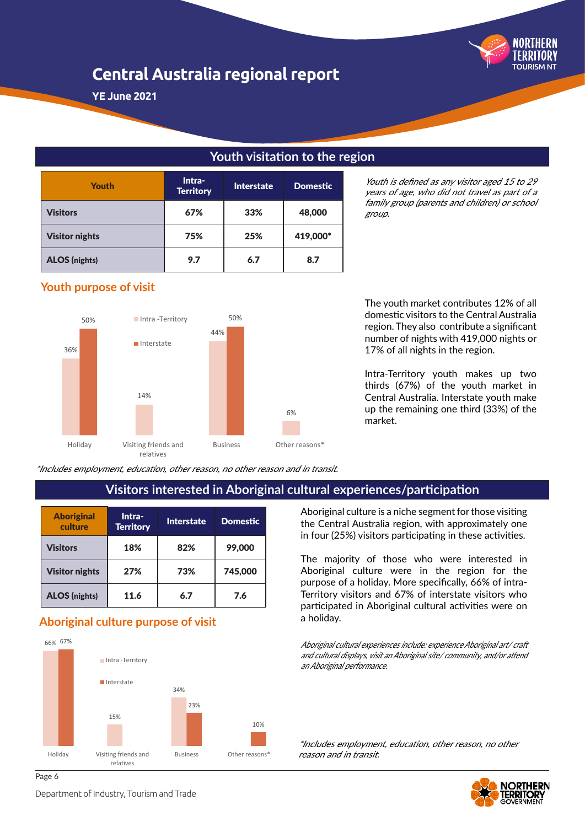

**YE June 2021**

## **Youth visitation to the region**

| <b>Youth</b>          | Intra-<br><b>Territory</b> | <b>Interstate</b> | <b>Domestic</b> |
|-----------------------|----------------------------|-------------------|-----------------|
| <b>Visitors</b>       | 67%                        | 33%               | 48,000          |
| <b>Visitor nights</b> | 75%                        | 25%               | 419,000*        |
| <b>ALOS</b> (nights)  | 9.7                        | 6.7               | 8.7             |

Youth is defined as any visitor aged 15 to 29 years of age, who did not travel as part of a family group (parents and children) or school group.

## **Youth purpose of visit**



The youth market contributes 12% of all domestic visitors to the Central Australia region. They also contribute a significant number of nights with 419,000 nights or 17% of all nights in the region.

Intra-Territory youth makes up two thirds (67%) of the youth market in Central Australia. Interstate youth make up the remaining one third (33%) of the market.

\*Includes employment, education, other reason, no other reason and in transit.

## **Visitors interested in Aboriginal cultural experiences/participation**

| <b>Aboriginal</b><br>culture | Intra-<br><b>Territory</b> | Interstate | <b>Domestic</b> |
|------------------------------|----------------------------|------------|-----------------|
| <b>Visitors</b>              | 18%                        | 82%        | 99,000          |
| <b>Visitor nights</b>        | 27%                        | 73%        | 745,000         |
| <b>ALOS</b> (nights)         | 11.6                       | 6.7        | 7.6             |

## a holiday. **Aboriginal culture purpose of visit**



Aboriginal culture is a niche segment for those visiting the Central Australia region, with approximately one in four (25%) visitors participating in these activities.

The majority of those who were interested in Aboriginal culture were in the region for the purpose of a holiday. More specifically, 66% of intra-Territory visitors and 67% of interstate visitors who participated in Aboriginal cultural activities were on

Aboriginal cultural experiences include: experience Aboriginal art/ craft and cultural displays, visit an Aboriginal site/ community, and/or attend an Aboriginal performance.

\*Includes employment, education, other reason, no other reason and in transit.



Department of Industry, Tourism and Trade

Page 6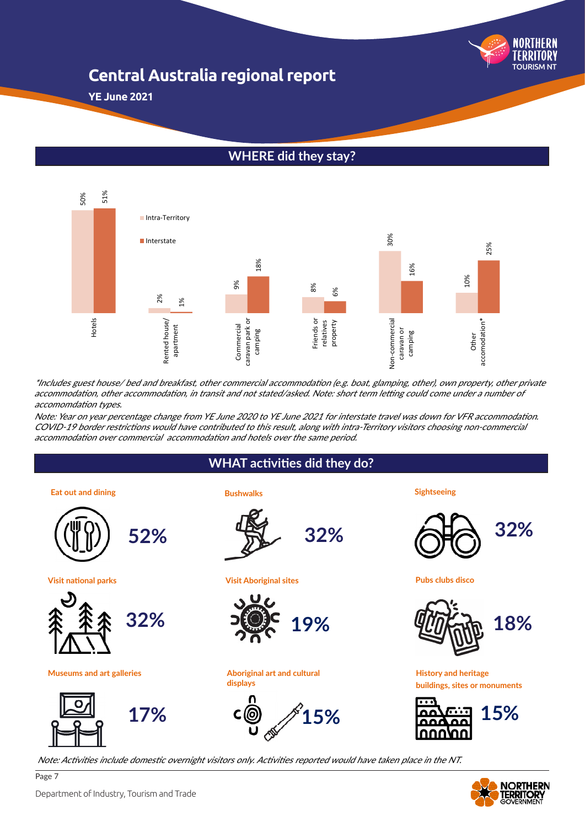

**YE June 2021**

## **WHERE did they stay?**



\*Includes guest house/ bed and breakfast, other commercial accommodation (e.g. boat, glamping, other), own property, other private accommodation, other accommodation, in transit and not stated/asked. Note: short term letting could come under a number of accomomdation types.

Note: Year on year percentage change from YE June 2020 to YE June 2021 for interstate travel was down for VFR accommodation. COVID-19 border restrictions would have contributed to this result, along with intra-Territory visitors choosing non-commercial

## **WHAT activities did they do?**

**Eat out and dining Sightseeing**



**Visit national parks**





Page 7

**Bushwalks**



**Visit Aboriginal sites**



**Aboriginal art and cultural Museums and art galleries History and heritage displays**



Note: Activities include domestic overnight visitors only. Activities reported would have taken place in the NT.



**Pubs clubs disco**



**buildings, sites or monuments** 



**NORTHERN** 

Department of Industry, Tourism and Trade